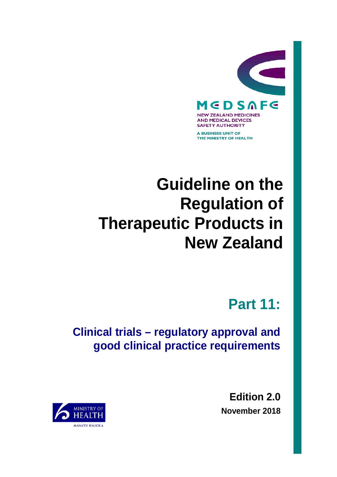

A BUSINESS UNIT OF THE MINISTRY OF HEALTH

# **Guideline on the Regulation of Therapeutic Products in New Zealand**

**Part 11:**

**Clinical trials – regulatory approval and good clinical practice requirements**

> **Edition 2.0 November 2018**

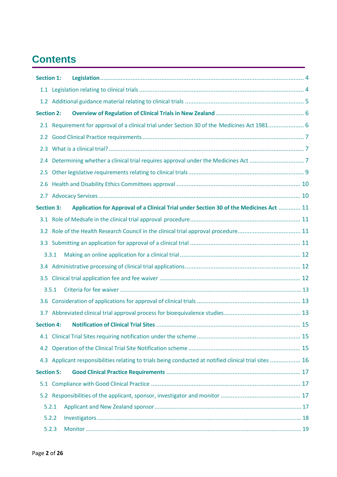## **Contents**

| <b>Section 1:</b> |       |                                                                                                        |  |
|-------------------|-------|--------------------------------------------------------------------------------------------------------|--|
|                   |       |                                                                                                        |  |
|                   |       |                                                                                                        |  |
| <b>Section 2:</b> |       |                                                                                                        |  |
|                   |       | 2.1 Requirement for approval of a clinical trial under Section 30 of the Medicines Act 1981 6          |  |
| $2.2^{\circ}$     |       |                                                                                                        |  |
|                   |       |                                                                                                        |  |
| 2.4               |       |                                                                                                        |  |
| 2.5               |       |                                                                                                        |  |
| 2.6               |       |                                                                                                        |  |
|                   |       |                                                                                                        |  |
| <b>Section 3:</b> |       | Application for Approval of a Clinical Trial under Section 30 of the Medicines Act  11                 |  |
|                   |       |                                                                                                        |  |
|                   |       |                                                                                                        |  |
|                   |       |                                                                                                        |  |
|                   | 3.3.1 |                                                                                                        |  |
|                   |       |                                                                                                        |  |
|                   |       |                                                                                                        |  |
|                   | 3.5.1 |                                                                                                        |  |
|                   |       |                                                                                                        |  |
|                   |       |                                                                                                        |  |
|                   |       |                                                                                                        |  |
|                   |       |                                                                                                        |  |
|                   |       |                                                                                                        |  |
|                   |       | 4.3 Applicant responsibilities relating to trials being conducted at notified clinical trial sites  16 |  |
| <b>Section 5:</b> |       |                                                                                                        |  |
|                   |       |                                                                                                        |  |
|                   |       |                                                                                                        |  |
|                   | 5.2.1 |                                                                                                        |  |
|                   | 5.2.2 |                                                                                                        |  |
|                   | 5.2.3 |                                                                                                        |  |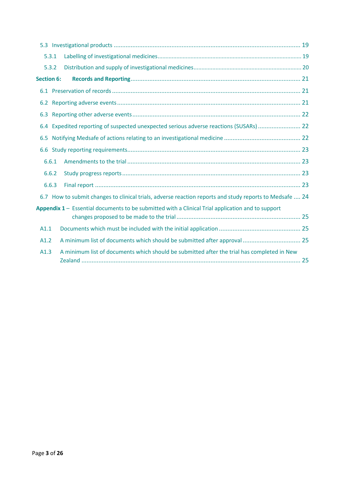| 5.3.1             |       |                                                                                                         |  |  |  |
|-------------------|-------|---------------------------------------------------------------------------------------------------------|--|--|--|
|                   | 5.3.2 |                                                                                                         |  |  |  |
| <b>Section 6:</b> |       |                                                                                                         |  |  |  |
|                   |       |                                                                                                         |  |  |  |
| 6.2               |       |                                                                                                         |  |  |  |
| 6.3               |       |                                                                                                         |  |  |  |
| 6.4               |       | Expedited reporting of suspected unexpected serious adverse reactions (SUSARs)  22                      |  |  |  |
| 6.5               |       |                                                                                                         |  |  |  |
|                   |       |                                                                                                         |  |  |  |
|                   | 6.6.1 |                                                                                                         |  |  |  |
|                   | 6.6.2 |                                                                                                         |  |  |  |
|                   | 6.6.3 |                                                                                                         |  |  |  |
|                   |       | 6.7 How to submit changes to clinical trials, adverse reaction reports and study reports to Medsafe  24 |  |  |  |
|                   |       | Appendix 1 - Essential documents to be submitted with a Clinical Trial application and to support       |  |  |  |
| A1.1              |       |                                                                                                         |  |  |  |
| A1.2              |       |                                                                                                         |  |  |  |
| A1.3              |       | A minimum list of documents which should be submitted after the trial has completed in New              |  |  |  |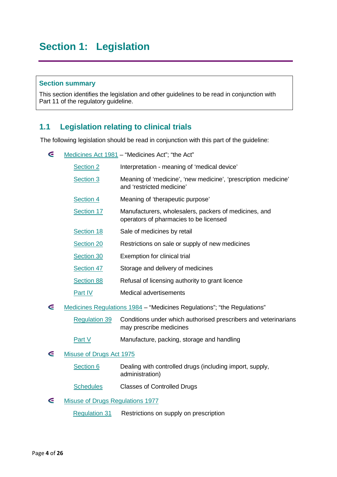### <span id="page-3-0"></span>**Section 1: Legislation**

#### **Section summary**

This section identifies the legislation and other guidelines to be read in conjunction with Part 11 of the regulatory guideline.

### <span id="page-3-1"></span>**1.1 Legislation relating to clinical trials**

The following legislation should be read in conjunction with this part of the guideline:

| ⋐ | Medicines Act 1981 - "Medicines Act"; "the Act"                         |                                                                                                 |  |  |  |
|---|-------------------------------------------------------------------------|-------------------------------------------------------------------------------------------------|--|--|--|
|   | Section 2                                                               | Interpretation - meaning of 'medical device'                                                    |  |  |  |
|   | Section 3                                                               | Meaning of 'medicine', 'new medicine', 'prescription medicine'<br>and 'restricted medicine'     |  |  |  |
|   | Section 4                                                               | Meaning of 'therapeutic purpose'                                                                |  |  |  |
|   | Section 17                                                              | Manufacturers, wholesalers, packers of medicines, and<br>operators of pharmacies to be licensed |  |  |  |
|   | Section 18                                                              | Sale of medicines by retail                                                                     |  |  |  |
|   | Section 20                                                              | Restrictions on sale or supply of new medicines                                                 |  |  |  |
|   | Section 30                                                              | Exemption for clinical trial                                                                    |  |  |  |
|   | Section 47                                                              | Storage and delivery of medicines                                                               |  |  |  |
|   | <b>Section 88</b>                                                       | Refusal of licensing authority to grant licence                                                 |  |  |  |
|   | Part IV                                                                 | <b>Medical advertisements</b>                                                                   |  |  |  |
| ∈ | Medicines Regulations 1984 - "Medicines Regulations"; "the Regulations" |                                                                                                 |  |  |  |
|   | <b>Regulation 39</b>                                                    | Conditions under which authorised prescribers and veterinarians<br>may prescribe medicines      |  |  |  |
|   | Part V                                                                  | Manufacture, packing, storage and handling                                                      |  |  |  |
| G | Misuse of Drugs Act 1975                                                |                                                                                                 |  |  |  |
|   | Section 6                                                               | Dealing with controlled drugs (including import, supply,<br>administration)                     |  |  |  |
|   | <b>Schedules</b>                                                        | <b>Classes of Controlled Drugs</b>                                                              |  |  |  |

#### $\epsilon$ Misuse of Drugs [Regulations](http://www.legislation.govt.nz/regulation/public/1977/0037/latest/DLM54840.html?search=ts_regulation%40deemedreg_misuse+of+drugs_resel_25_a&p=1) 1977

[Regulation 31](http://www.legislation.govt.nz/regulation/public/1977/0037/latest/DLM55920.html?search=ts_regulation_Misuse%2bof%2bDrugs_resel) Restrictions on supply on prescription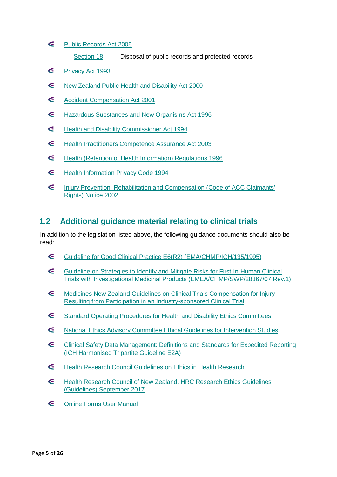- $\epsilon$ Public [Records](http://www.legislation.govt.nz/act/public/2005/0040/latest/DLM345529.html) Act 2005
	- [Section](http://www.legislation.govt.nz/act/public/2005/0040/latest/DLM345730.html) 18 Disposal of public records and protected records
- G [Privacy](http://www.legislation.govt.nz/act/public/1993/0028/latest/DLM296639.html) Act 1993
- $\epsilon$ New Zealand Public Health and [Disability](http://www.legislation.govt.nz/act/public/2000/0091/latest/DLM80051.html) Act 2000
- G Accident [Compensation](http://www.legislation.govt.nz/act/public/2001/0049/latest/DLM99494.html?search=ts_act_injury%2Bprevention%2Brehabilitation%2Bcompensation_resel) Act 2001
- $\epsilon$ [Hazardous Substances and New Organisms Act 1996](http://www.legislation.govt.nz/act/public/1996/0030/latest/DLM381222.html)
- $\epsilon$ [Health and Disability Commissioner Act 1994](http://www.legislation.govt.nz/act/public/1994/0088/latest/DLM333584.html)
- $\epsilon$ [Health Practitioners Competence Assurance Act 2003](http://www.legislation.govt.nz/act/public/2003/0048/latest/DLM203312.html?search=ts_act_Health%2BPractitioners_resel&sr=1)
- $\epsilon$ [Health \(Retention of Health Information\) Regulations 1996](http://www.legislation.govt.nz/regulation/public/1996/0343/latest/DLM225616.html)
- $\epsilon$ [Health Information Privacy Code 1994](http://www.privacy.org.nz/health-information-privacy-code/)
- G [Injury Prevention, Rehabilitation and Compensation \(Code of ACC Claimants'](http://www.legislation.govt.nz/regulation/public/2002/0390/latest/DLM173110.html?search=ts_all%40act%40bill%40regulation_Injury%2BPrevention%2C%2BRehabilitation%2Band%2BCompensation%2B(Code%2Bof%2BACC%2BClaimants%25e2%2580%2599%2BRights)%2BNotice%2B2002_resel&p=1&sr=1) [Rights\) Notice 2002](http://www.legislation.govt.nz/regulation/public/2002/0390/latest/DLM173110.html?search=ts_all%40act%40bill%40regulation_Injury%2BPrevention%2C%2BRehabilitation%2Band%2BCompensation%2B(Code%2Bof%2BACC%2BClaimants%25e2%2580%2599%2BRights)%2BNotice%2B2002_resel&p=1&sr=1)

### <span id="page-4-0"></span>**1.2 Additional guidance material relating to clinical trials**

In addition to the legislation listed above, the following guidance documents should also be read:

- $\epsilon$ [Guideline for Good Clinical Practice E6\(R2\) \(EMA/CHMP/ICH/135/1995\)](http://www.ema.europa.eu/docs/en_GB/document_library/Scientific_guideline/2009/09/WC500002874.pdf)
- G [Guideline on Strategies to Identify and Mitigate Risks for First-In-Human Clinical](http://www.ema.europa.eu/docs/en_GB/document_library/Scientific_guideline/2017/07/WC500232186.pdf)  [Trials with Investigational Medicinal Products \(EMEA/CHMP/SWP/28367/07 Rev.1\)](http://www.ema.europa.eu/docs/en_GB/document_library/Scientific_guideline/2017/07/WC500232186.pdf)
- G [Medicines New Zealand Guidelines on Clinical Trials Compensation for Injury](http://www.medicinesnz.co.nz/assets/Uploads/2015-Medicines-New-Zealand-Compensation-Guidelines-FINAL.pdf)  [Resulting from Participation in an](http://www.medicinesnz.co.nz/assets/Uploads/2015-Medicines-New-Zealand-Compensation-Guidelines-FINAL.pdf) Industry-sponsored Clinical Trial
- $\epsilon$ [Standard Operating Procedures for Health and Disability Ethics Committees](https://ethics.health.govt.nz/operating-procedures)
- E [National Ethics Advisory Committee Ethical Guidelines for Intervention Studies](https://neac.health.govt.nz/streamlined-ethical-guidelines-health-and-disability-research)
- $\epsilon$ [Clinical Safety Data Management: Definitions and Standards for Expedited Reporting](http://www.ich.org/fileadmin/Public_Web_Site/ICH_Products/Guidelines/Efficacy/E2A/Step4/E2A_Guideline.pdf)  [\(ICH Harmonised Tripartite Guideline E2A\)](http://www.ich.org/fileadmin/Public_Web_Site/ICH_Products/Guidelines/Efficacy/E2A/Step4/E2A_Guideline.pdf)
- G [Health Research Council Guidelines on](http://www.hrc.govt.nz/news-and-publications/publications/hrc-guidelines-ethics-health-research) Ethics in Health Research
- G [Health Research Council of New Zealand. HRC Research Ethics Guidelines](https://gateway.hrc.govt.nz/funding/downloads/HRC_research_ethics_guidelines.pdf)  [\(Guidelines\) September 2017](https://gateway.hrc.govt.nz/funding/downloads/HRC_research_ethics_guidelines.pdf)
- $\epsilon$ [Online Forms User Manual](https://nz.ethicsform.org/Help/Online%20Forms%20User%20Manual%201.1.pdf)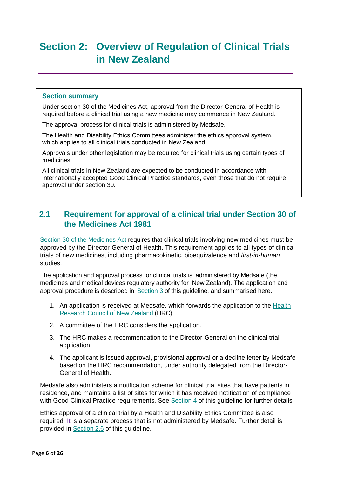### <span id="page-5-0"></span>**Section 2: Overview of Regulation of Clinical Trials in New Zealand**

### **Section summary**

Under section 30 of the Medicines Act, approval from the Director-General of Health is required before a clinical trial using a new medicine may commence in New Zealand.

The approval process for clinical trials is administered by Medsafe.

The Health and Disability Ethics Committees administer the ethics approval system, which applies to all clinical trials conducted in New Zealand.

Approvals under other legislation may be required for clinical trials using certain types of medicines.

All clinical trials in New Zealand are expected to be conducted in accordance with internationally accepted Good Clinical Practice standards, even those that do not require approval under section 30.

### <span id="page-5-1"></span>**2.1 Requirement for approval of a clinical trial under Section 30 of the Medicines Act 1981**

Section 30 of the [Medicines](http://www.legislation.govt.nz/act/public/1981/0118/latest/DLM55429.html?search=ts_act_medicines_resel) Act requires that clinical trials involving new medicines must be approved by the Director-General of Health. This requirement applies to all types of clinical trials of new medicines, including pharmacokinetic, bioequivalence and *first-in-human* studies.

The application and approval process for clinical trials is administered by Medsafe (the medicines and medical devices regulatory authority for New Zealand). The application and approval procedure is described in Section 3 of this guideline, and summarised here.

- 1. An application is received at Medsafe, which forwards the application to the [Health](http://www.hrc.govt.nz/) [Research](http://www.hrc.govt.nz/) Council of New Zealand (HRC).
- 2. A committee of the HRC considers the application.
- 3. The HRC makes a recommendation to the Director-General on the clinical trial application.
- 4. The applicant is issued approval, provisional approval or a decline letter by Medsafe based on the HRC recommendation, under authority delegated from the Director-General of Health.

Medsafe also administers a notification scheme for clinical trial sites that have patients in residence, and maintains a list of sites for which it has received notification of compliance with Good Clinical Practice requirements. See Section 4 of this guideline for further details.

Ethics approval of a clinical trial by a Health and Disability Ethics Committee is also required. It is a separate process that is not administered by Medsafe. Further detail is provided in Section 2.6 of this guideline.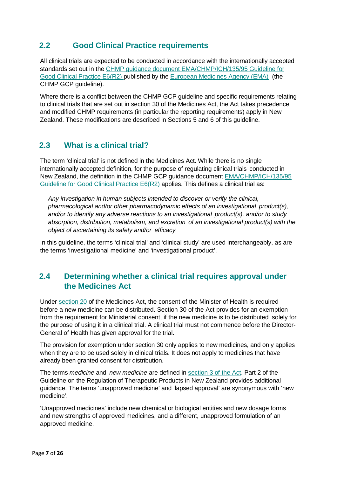### <span id="page-6-0"></span>**2.2 Good Clinical Practice requirements**

All clinical trials are expected to be conducted in accordance with the internationally accepted standards set out in the CHMP guidance document EMA/CHMP/ICH/135/95 Guideline for Good Clinical Practice E6(R2) published by the European [Medicines](http://www.ema.europa.eu/ema/) Agency (EMA) (the CHMP GCP guideline).

Where there is a conflict between the CHMP GCP quideline and specific requirements relating to clinical trials that are set out in section 30 of the Medicines Act, the Act takes precedence and modified CHMP requirements (in particular the reporting requirements) apply in New Zealand. These modifications are described in Sections 5 and 6 of this guideline.

### <span id="page-6-1"></span>**2.3 What is a clinical trial?**

The term 'clinical trial' is not defined in the Medicines Act. While there is no single internationally accepted definition, for the purpose of regulating clinical trials conducted in New Zealand, the definition in the CHMP GCP guidance document [EMA/CHMP/ICH/135/95](http://www.ema.europa.eu/docs/en_GB/document_library/Scientific_guideline/2009/09/WC500002874.pdf)  [Guideline for Good Clinical Practice E6\(R2\)](http://www.ema.europa.eu/docs/en_GB/document_library/Scientific_guideline/2009/09/WC500002874.pdf) applies. This defines a clinical trial as:

*Any investigation in human subjects intended to discover or verify the clinical, pharmacological and/or other pharmacodynamic effects of an investigational product(s), and/or to identify any adverse reactions to an investigational product(s), and/or to study absorption, distribution, metabolism, and excretion of an investigational product(s) with the object of ascertaining its safety and/or efficacy.*

In this guideline, the terms 'clinical trial' and 'clinical study' are used interchangeably, as are the terms 'investigational medicine' and 'investigational product'.

### <span id="page-6-2"></span>**2.4 Determining whether a clinical trial requires approval under the Medicines Act**

Under [section 20](http://www.legislation.govt.nz/act/public/1981/0118/latest/DLM55054.html) of the Medicines Act, the consent of the Minister of Health is required before a new medicine can be distributed. Section 30 of the Act provides for an exemption from the requirement for Ministerial consent, if the new medicine is to be distributed solely for the purpose of using it in a clinical trial. A clinical trial must not commence before the Director-General of Health has given approval for the trial.

The provision for exemption under section 30 only applies to new medicines, and only applies when they are to be used solely in clinical trials. It does not apply to medicines that have already been granted consent for distribution.

The terms *medicine* and *new medicine* are defined in [section 3 of the Act.](http://www.legislation.govt.nz/act/public/1981/0118/latest/DLM54687.html) Part 2 of the Guideline on the Regulation of Therapeutic Products in New Zealand provides additional guidance. The terms 'unapproved medicine' and 'lapsed approval' are synonymous with 'new medicine'.

'Unapproved medicines' include new chemical or biological entities and new dosage forms and new strengths of approved medicines, and a different, unapproved formulation of an approved medicine.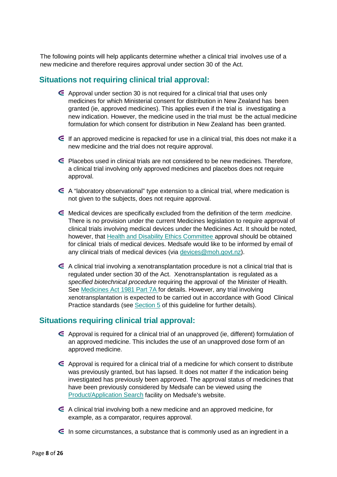The following points will help applicants determine whether a clinical trial involves use of a new medicine and therefore requires approval under section 30 of the Act.

### **Situations not requiring clinical trial approval:**

- $\epsilon$  Approval under section 30 is not required for a clinical trial that uses only medicines for which Ministerial consent for distribution in New Zealand has been granted (ie, approved medicines). This applies even if the trial is investigating a new indication. However, the medicine used in the trial must be the actual medicine formulation for which consent for distribution in New Zealand has been granted.
- $\epsilon$  If an approved medicine is repacked for use in a clinical trial, this does not make it a new medicine and the trial does not require approval.
- $\epsilon$  Placebos used in clinical trials are not considered to be new medicines. Therefore, a clinical trial involving only approved medicines and placebos does not require approval.
- A "laboratory observational" type extension to a clinical trial, where medication is not given to the subjects, does not require approval.
- Medical devices are specifically excluded from the definition of the term *medicine*. There is no provision under the current Medicines legislation to require approval of clinical trials involving medical devices under the Medicines Act. It should be noted, however, that [Health and Disability](http://www.ethicscommittees.health.govt.nz/moh.nsf/indexcm/ethics-home?Open&m_id=1) Ethics Committee approval should be obtained for clinical trials of medical devices. Medsafe would like to be informed by email of any clinical trials of medical devices (via [devices@moh.govt.nz\)](mailto:devices@moh.govt.nz).
- $\epsilon$  A clinical trial involving a xenotransplantation procedure is not a clinical trial that is regulated under section 30 of the Act. Xenotransplantation is regulated as a *specified biotechnical procedure* requiring the approval of the Minister of Health. See [Medicines](http://www.legislation.govt.nz/act/public/1981/0118/latest/whole.html?search=ts_act_medicines_resel%23DLM56503) Act 1981 Part 7A for details. However, any trial involving xenotransplantation is expected to be carried out in accordance with Good Clinical Practice standards (see Section 5 of this guideline for further details).

### **Situations requiring clinical trial approval:**

- Approval is required for a clinical trial of an unapproved (ie, different) formulation of an approved medicine. This includes the use of an unapproved dose form of an approved medicine.
- $\epsilon$  Approval is required for a clinical trial of a medicine for which consent to distribute was previously granted, but has lapsed. It does not matter if the indication being investigated has previously been approved. The approval status of medicines that have been previously considered by Medsafe can be viewed using the [Product/Application Search](http://www.medsafe.govt.nz/regulatory/DbSearch.asp) facility on Medsafe's website.
- A clinical trial involving both a new medicine and an approved medicine, for example, as a comparator, requires approval.
- $\epsilon$  In some circumstances, a substance that is commonly used as an ingredient in a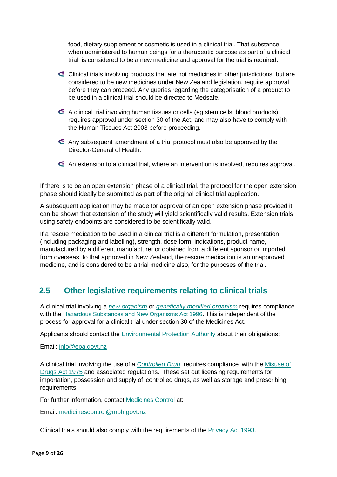food, dietary supplement or cosmetic is used in a clinical trial. That substance, when administered to human beings for a therapeutic purpose as part of a clinical trial, is considered to be a new medicine and approval for the trial is required.

- $\epsilon$  Clinical trials involving products that are not medicines in other jurisdictions, but are considered to be new medicines under New Zealand legislation, require approval before they can proceed. Any queries regarding the categorisation of a product to be used in a clinical trial should be directed to Medsafe.
- A clinical trial involving human tissues or cells (eg stem cells, blood products) requires approval under section 30 of the Act, and may also have to comply with the Human Tissues Act 2008 before proceeding.
- Any subsequent amendment of a trial protocol must also be approved by the Director-General of Health.
- An extension to a clinical trial, where an intervention is involved, requires approval.

If there is to be an open extension phase of a clinical trial, the protocol for the open extension phase should ideally be submitted as part of the original clinical trial application.

A subsequent application may be made for approval of an open extension phase provided it can be shown that extension of the study will yield scientifically valid results. Extension trials using safety endpoints are considered to be scientifically valid.

If a rescue medication to be used in a clinical trial is a different formulation, presentation (including packaging and labelling), strength, dose form, indications, product name, manufactured by a different manufacturer or obtained from a different sponsor or imported from overseas, to that approved in New Zealand, the rescue medication is an unapproved medicine, and is considered to be a trial medicine also, for the purposes of the trial.

### <span id="page-8-0"></span>**2.5 Other legislative requirements relating to clinical trials**

A clinical trial involving a *[new organism](http://www.legislation.govt.nz/act/public/1996/0030/latest/whole.html#DLM382982)* or *[genetically modified organism](http://www.legislation.govt.nz/act/public/1996/0030/latest/whole.html#DLM381228)* requires compliance with the [Hazardous Substances and New Organisms Act 1996.](http://www.legislation.govt.nz/act/public/1996/0030/latest/DLM381222.html?search=ts_act%40bill%40regulation%40deemedreg_hazardous+substances_resel_25_a&p=1) This is independent of the process for approval for a clinical trial under section 30 of the Medicines Act.

Applicants should contact the [Environmental Protection Authority](https://www.epa.govt.nz/contact-us/) about their obligations:

Email: [info@epa.govt.nz](mailto:info@epa.govt.nz)

A clinical trial involving the use of a *[Controlled](http://www.legislation.govt.nz/act/public/1975/0116/latest/DLM436106.html?search=ts_act_Misuse%2Bof%2BDrugs_resel&p=1) Drug*, requires compliance with the [Misuse](http://www.legislation.govt.nz/act/public/1975/0116/latest/DLM436101.html?search=ts_act_Misuse%2Bof%2BDrugs_resel&p=1&sr=1) of [Drugs](http://www.legislation.govt.nz/act/public/1975/0116/latest/DLM436101.html?search=ts_act_Misuse%2Bof%2BDrugs_resel&p=1&sr=1) Act 1975 and associated regulations. These set out licensing requirements for importation, possession and supply of controlled drugs, as well as storage and prescribing requirements.

For further information, contact [Medicines Control](http://www.health.govt.nz/our-work/regulation-health-and-disability-system/medicines-control) at:

Email: [medicinescontrol@moh.govt.nz](mailto:medicinescontrol@moh.govt.nz)

Clinical trials should also comply with the requirements of the [Privacy Act 1993.](http://www.legislation.govt.nz/act/public/1993/0028/latest/DLM296639.html?search=ts_act%40bill%40regulation%40deemedreg_privacy+act_resel_25_a&p=1)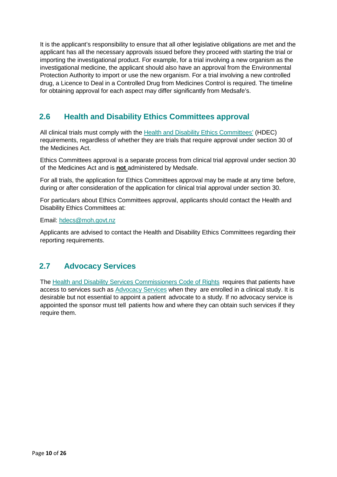It is the applicant's responsibility to ensure that all other legislative obligations are met and the applicant has all the necessary approvals issued before they proceed with starting the trial or importing the investigational product. For example, for a trial involving a new organism as the investigational medicine, the applicant should also have an approval from the Environmental Protection Authority to import or use the new organism. For a trial involving a new controlled drug, a Licence to Deal in a Controlled Drug from Medicines Control is required. The timeline for obtaining approval for each aspect may differ significantly from Medsafe's.

### <span id="page-9-0"></span>**2.6 Health and Disability Ethics Committees approval**

All clinical trials must comply with the [Health and Disability Ethics Committees'](https://ethics.health.govt.nz/) (HDEC) requirements, regardless of whether they are trials that require approval under section 30 of the Medicines Act.

Ethics Committees approval is a separate process from clinical trial approval under section 30 of the Medicines Act and is **not** administered by Medsafe.

For all trials, the application for Ethics Committees approval may be made at any time before, during or after consideration of the application for clinical trial approval under section 30.

For particulars about Ethics Committees approval, applicants should contact the Health and Disability Ethics Committees at:

Email: [hdecs@moh.govt.nz](mailto:hdecs@moh.govt.nz)

Applicants are advised to contact the Health and Disability Ethics Committees regarding their reporting requirements.

### <span id="page-9-1"></span>**2.7 Advocacy Services**

The Health and Disability [Services Commissioners](http://www.hdc.org.nz/the-act--code/the-code-of-rights) Code of Rights requires that patients have access to services such as **Advocacy Services** when they are enrolled in a clinical study. It is desirable but not essential to appoint a patient advocate to a study. If no advocacy service is appointed the sponsor must tell patients how and where they can obtain such services if they require them.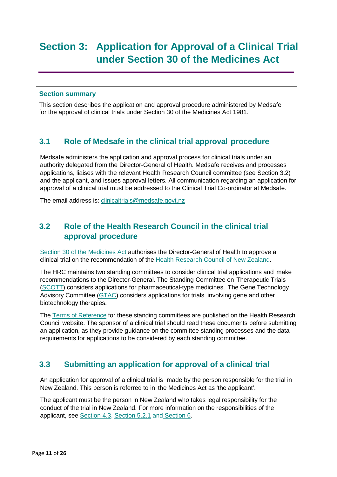### <span id="page-10-0"></span>**Section 3: Application for Approval of a Clinical Trial under Section 30 of the Medicines Act**

### **Section summary**

This section describes the application and approval procedure administered by Medsafe for the approval of clinical trials under Section 30 of the Medicines Act 1981.

### <span id="page-10-1"></span>**3.1 Role of Medsafe in the clinical trial approval procedure**

Medsafe administers the application and approval process for clinical trials under an authority delegated from the Director-General of Health. Medsafe receives and processes applications, liaises with the relevant Health Research Council committee (see Section 3.2) and the applicant, and issues approval letters. All communication regarding an application for approval of a clinical trial must be addressed to the Clinical Trial Co-ordinator at Medsafe.

The email address is: [clinicaltrials@medsafe.govt.nz](mailto:clinicaltrials@medsafe.govt.nz)

### <span id="page-10-2"></span>**3.2 Role of the Health Research Council in the clinical trial approval procedure**

Section 30 of the [Medicines](http://www.legislation.govt.nz/act/public/1981/0118/latest/DLM55429.html?search=ts_act_medicines_resel) Act authorises the Director-General of Health to approve a clinical trial on the recommendation of the [Health Research Council of New Zealand.](http://www.hrc.govt.nz/ethics-and-regulatory)

The HRC maintains two standing committees to consider clinical trial applications and make recommendations to the Director-General. The Standing Committee on Therapeutic Trials [\(SCOTT\)](http://www.hrc.govt.nz/ethics-and-regulatory/standing-committee-therapeutic-trials) considers applications for pharmaceutical-type medicines. The Gene Technology Advisory Committee [\(GTAC\)](http://www.hrc.govt.nz/ethics-and-regulatory/gene-technology-advisory-committee) considers applications for trials involving gene and other biotechnology therapies.

The Terms of [Reference](http://www.hrc.govt.nz/ethics-and-regulatory) for these standing committees are published on the Health Research Council website. The sponsor of a clinical trial should read these documents before submitting an application, as they provide guidance on the committee standing processes and the data requirements for applications to be considered by each standing committee.

### <span id="page-10-3"></span>**3.3 Submitting an application for approval of a clinical trial**

An application for approval of a clinical trial is made by the person responsible for the trial in New Zealand. This person is referred to in the Medicines Act as 'the applicant'.

The applicant must be the person in New Zealand who takes legal responsibility for the conduct of the trial in New Zealand. For more information on the responsibilities of the applicant, see [Section 4.3,](#page-15-0) [Section 5.2.1](#page-16-2) and [Section 6.](#page-19-1)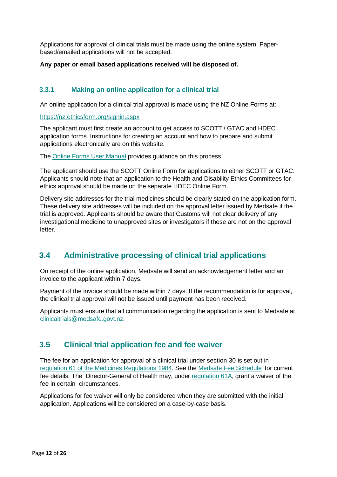Applications for approval of clinical trials must be made using the online system. Paperbased/emailed applications will not be accepted.

#### **Any paper or email based applications received will be disposed of.**

### <span id="page-11-0"></span>**3.3.1 Making an online application for a clinical trial**

An online application for a clinical trial approval is made using the NZ Online Forms at:

<https://nz.ethicsform.org/signin.aspx>

The applicant must first create an account to get access to SCOTT / GTAC and HDEC application forms. Instructions for creating an account and how to prepare and submit applications electronically are on this website.

The [Online Forms User Manual](https://nz.ethicsform.org/Help/Online%20Forms%20User%20Manual%201.1.pdf) provides guidance on this process.

The applicant should use the SCOTT Online Form for applications to either SCOTT or GTAC. Applicants should note that an application to the Health and Disability Ethics Committees for ethics approval should be made on the separate HDEC Online Form.

Delivery site addresses for the trial medicines should be clearly stated on the application form. These delivery site addresses will be included on the approval letter issued by Medsafe if the trial is approved. Applicants should be aware that Customs will not clear delivery of any investigational medicine to unapproved sites or investigators if these are not on the approval letter.

### <span id="page-11-1"></span>**3.4 Administrative processing of clinical trial applications**

On receipt of the online application, Medsafe will send an acknowledgement letter and an invoice to the applicant within 7 days.

Payment of the invoice should be made within 7 days. If the recommendation is for approval, the clinical trial approval will not be issued until payment has been received.

Applicants must ensure that all communication regarding the application is sent to Medsafe at [clinicaltrials@medsafe.govt.nz.](mailto:clinicaltrials@medsafe.govt.nz)

### <span id="page-11-2"></span>**3.5 Clinical trial application fee and fee waiver**

The fee for an application for approval of a clinical trial under section 30 is set out in regulation 61 of the Medicines [Regulations](http://www.legislation.govt.nz/regulation/public/1984/0143/latest/DLM96837.html?search=ts_regulation_medicines_resel&p=1) 1984. See the Medsafe Fee [Schedule](http://www.medsafe.govt.nz/regulatory/fees.asp) for current fee details. The Director-General of Health may, under [regulation](http://www.legislation.govt.nz/regulation/public/1984/0143/latest/DLM96847.html?search=ts_regulation_medicines_resel) 61A, grant a waiver of the fee in certain circumstances.

Applications for fee waiver will only be considered when they are submitted with the initial application. Applications will be considered on a case-by-case basis.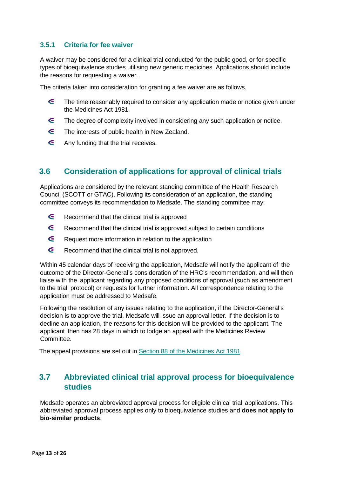### <span id="page-12-0"></span>**3.5.1 Criteria for fee waiver**

A waiver may be considered for a clinical trial conducted for the public good, or for specific types of bioequivalence studies utilising new generic medicines. Applications should include the reasons for requesting a waiver.

The criteria taken into consideration for granting a fee waiver are as follows.

- $\epsilon$ The time reasonably required to consider any application made or notice given under the Medicines Act 1981.
- $\epsilon$ The degree of complexity involved in considering any such application or notice.
- G The interests of public health in New Zealand.
- $\epsilon$ Any funding that the trial receives.

### <span id="page-12-1"></span>**3.6 Consideration of applications for approval of clinical trials**

Applications are considered by the relevant standing committee of the Health Research Council (SCOTT or GTAC). Following its consideration of an application, the standing committee conveys its recommendation to Medsafe. The standing committee may:

- $\epsilon$ Recommend that the clinical trial is approved
- G Recommend that the clinical trial is approved subject to certain conditions
- $\epsilon$ Request more information in relation to the application
- $\epsilon$ Recommend that the clinical trial is not approved.

Within 45 calendar days of receiving the application, Medsafe will notify the applicant of the outcome of the Director-General's consideration of the HRC's recommendation, and will then liaise with the applicant regarding any proposed conditions of approval (such as amendment to the trial protocol) or requests for further information. All correspondence relating to the application must be addressed to Medsafe.

Following the resolution of any issues relating to the application, if the Director-General's decision is to approve the trial, Medsafe will issue an approval letter. If the decision is to decline an application, the reasons for this decision will be provided to the applicant. The applicant then has 28 days in which to lodge an appeal with the Medicines Review Committee.

The appeal provisions are set out in Section 88 of the [Medicines](http://www.legislation.govt.nz/act/public/1981/0118/latest/DLM56090.html?search=ts_act_medicines_resel&p=1) Act 1981.

### <span id="page-12-2"></span>**3.7 Abbreviated clinical trial approval process for bioequivalence studies**

Medsafe operates an abbreviated approval process for eligible clinical trial applications. This abbreviated approval process applies only to bioequivalence studies and **does not apply to bio-similar products**.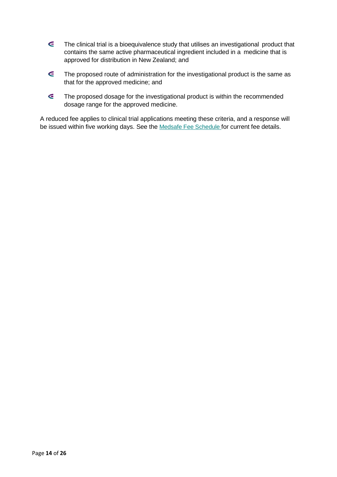- $\epsilon$ The clinical trial is a bioequivalence study that utilises an investigational product that contains the same active pharmaceutical ingredient included in a medicine that is approved for distribution in New Zealand; and
- $\epsilon$ The proposed route of administration for the investigational product is the same as that for the approved medicine; and
- $\epsilon$ The proposed dosage for the investigational product is within the recommended dosage range for the approved medicine.

A reduced fee applies to clinical trial applications meeting these criteria, and a response will be issued within five working days. See the Medsafe Fee [Schedule](http://www.medsafe.govt.nz/regulatory/fees.asp) for current fee details.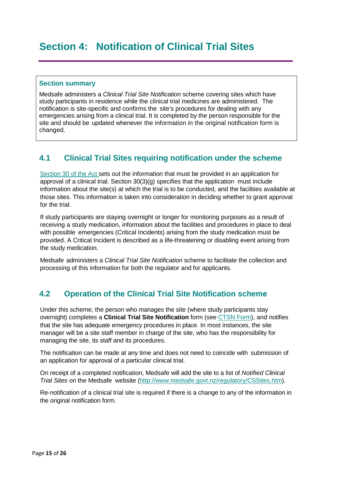### <span id="page-14-0"></span>**Section summary**

Medsafe administers a *Clinical Trial Site Notification* scheme covering sites which have study participants in residence while the clinical trial medicines are administered. The notification is site-specific and confirms the site's procedures for dealing with any emergencies arising from a clinical trial. It is completed by the person responsible for the site and should be updated whenever the information in the original notification form is changed.

### <span id="page-14-1"></span>**4.1 Clinical Trial Sites requiring notification under the scheme**

[Section](http://www.legislation.govt.nz/act/public/1981/0118/latest/DLM55429.html?search=ts_act_medicines_resel) 30 of the Act sets out the information that must be provided in an application for approval of a clinical trial. Section 30(3)(g) specifies that the application must include information about the site(s) at which the trial is to be conducted, and the facilities available at those sites. This information is taken into consideration in deciding whether to grant approval for the trial.

If study participants are staying overnight or longer for monitoring purposes as a result of receiving a study medication, information about the facilities and procedures in place to deal with possible emergencies (Critical Incidents) arising from the study medication must be provided. A Critical Incident is described as a life-threatening or disabling event arising from the study medication.

Medsafe administers a *Clinical Trial Site Notification* scheme to facilitate the collection and processing of this information for both the regulator and for applicants.

### <span id="page-14-2"></span>**4.2 Operation of the Clinical Trial Site Notification scheme**

Under this scheme, the person who manages the site (where study participants stay overnight) completes a **Clinical Trial Site Notification** form (see CTSN Form), and notifies that the site has adequate emergency procedures in place. In most instances, the site manager will be a site staff member in charge of the site, who has the responsibility for managing the site, its staff and its procedures.

The notification can be made at any time and does not need to coincide with submission of an application for approval of a particular clinical trial.

On receipt of a completed notification, Medsafe will add the site to a list of *Notified Clinical Trial Sites* on the Medsafe website [\(http://www.medsafe.govt.nz/regulatory/CSSites.htm\)](http://www.medsafe.govt.nz/regulatory/CSSites.htm).

Re-notification of a clinical trial site is required if there is a change to any of the information in the original notification form.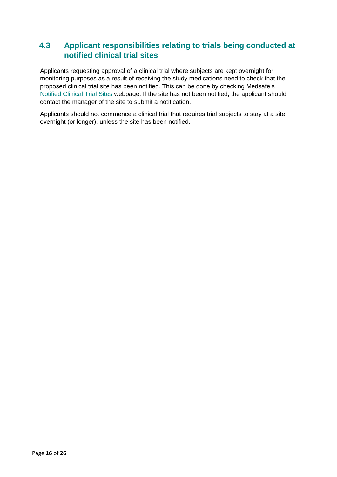### <span id="page-15-0"></span>**4.3 Applicant responsibilities relating to trials being conducted at notified clinical trial sites**

Applicants requesting approval of a clinical trial where subjects are kept overnight for monitoring purposes as a result of receiving the study medications need to check that the proposed clinical trial site has been notified. This can be done by checking Medsafe's [Notified Clinical Trial Sites](http://www.medsafe.govt.nz/regulatory/CSSites.htm) webpage. If the site has not been notified, the applicant should contact the manager of the site to submit a notification.

Applicants should not commence a clinical trial that requires trial subjects to stay at a site overnight (or longer), unless the site has been notified.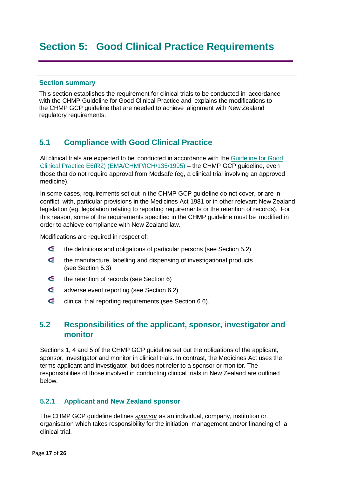### <span id="page-16-0"></span>**Section 5: Good Clinical Practice Requirements**

#### **Section summary**

This section establishes the requirement for clinical trials to be conducted in accordance with the CHMP Guideline for Good Clinical Practice and explains the modifications to the CHMP GCP guideline that are needed to achieve alignment with New Zealand regulatory requirements.

### <span id="page-16-1"></span>**5.1 Compliance with Good Clinical Practice**

All clinical trials are expected to be conducted in accordance with the [Guideline for Good](http://www.ema.europa.eu/docs/en_GB/document_library/Scientific_guideline/2009/09/WC500002874.pdf)  [Clinical Practice E6\(R2\) \(EMA/CHMP/ICH/135/1995\)](http://www.ema.europa.eu/docs/en_GB/document_library/Scientific_guideline/2009/09/WC500002874.pdf) – the CHMP GCP guideline, even those that do not require approval from Medsafe (eg, a clinical trial involving an approved medicine).

In some cases, requirements set out in the CHMP GCP guideline do not cover, or are in conflict with, particular provisions in the Medicines Act 1981 or in other relevant New Zealand legislation (eg, legislation relating to reporting requirements or the retention of records). For this reason, some of the requirements specified in the CHMP guideline must be modified in order to achieve compliance with New Zealand law.

Modifications are required in respect of:

- $\epsilon$ the definitions and obligations of particular persons (see Section 5.2)
- $\epsilon$ the manufacture, labelling and dispensing of investigational products (see Section 5.3)
- $\epsilon$ the retention of records (see Section 6)
- $\epsilon$ adverse event reporting (see Section 6.2)
- $\epsilon$ clinical trial reporting requirements (see Section 6.6).

### <span id="page-16-2"></span>**5.2 Responsibilities of the applicant, sponsor, investigator and monitor**

Sections 1, 4 and 5 of the CHMP GCP guideline set out the obligations of the applicant, sponsor, investigator and monitor in clinical trials. In contrast, the Medicines Act uses the terms applicant and investigator, but does not refer to a sponsor or monitor. The responsibilities of those involved in conducting clinical trials in New Zealand are outlined below.

### <span id="page-16-3"></span>**5.2.1 Applicant and New Zealand sponsor**

The CHMP GCP guideline defines *sponsor* as an individual, company, institution or organisation which takes responsibility for the initiation, management and/or financing of a clinical trial.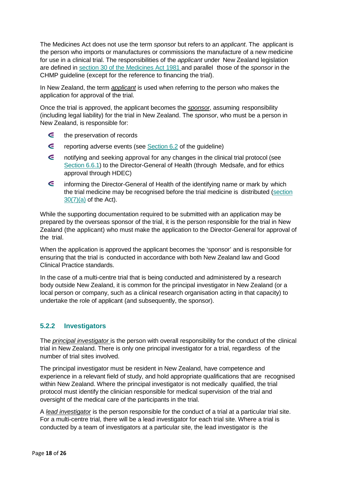The Medicines Act does not use the term *sponsor* but refers to an *applicant*. The applicant is the person who imports or manufactures or commissions the manufacture of a new medicine for use in a clinical trial. The responsibilities of the *applicant* under New Zealand legislation are defined in section 30 of the [Medicines](http://www.legislation.govt.nz/act/public/1981/0118/latest/DLM55429.html?search=ts_act_medicines_resel) Act 1981 and parallel those of the *sponsor* in the CHMP guideline (except for the reference to financing the trial).

In New Zealand, the term *applicant* is used when referring to the person who makes the application for approval of the trial.

Once the trial is approved, the applicant becomes the *sponsor*, assuming responsibility (including legal liability) for the trial in New Zealand. The *sponsor*, who must be a person in New Zealand, is responsible for:

- $\epsilon$ the preservation of records
- $\epsilon$ reporting adverse events (see Section 6.2 of the guideline)
- $\epsilon$ notifying and seeking approval for any changes in the clinical trial protocol (see [Section 6.6.1\)](#page-22-0) to the Director-General of Health (through Medsafe, and for ethics approval through HDEC)
- $\epsilon$ informing the Director-General of Health of the identifying name or mark by which the trial medicine may be recognised before the trial medicine is distributed [\(section](http://www.legislation.govt.nz/act/public/1981/0118/latest/DLM55429.html)  [30\(7\)\(a\)](http://www.legislation.govt.nz/act/public/1981/0118/latest/DLM55429.html) of the Act).

While the supporting documentation required to be submitted with an application may be prepared by the overseas sponsor of the trial, it is the person responsible for the trial in New Zealand (the applicant) who must make the application to the Director-General for approval of the trial.

When the application is approved the applicant becomes the 'sponsor' and is responsible for ensuring that the trial is conducted in accordance with both New Zealand law and Good Clinical Practice standards.

In the case of a multi-centre trial that is being conducted and administered by a research body outside New Zealand, it is common for the principal investigator in New Zealand (or a local person or company, such as a clinical research organisation acting in that capacity) to undertake the role of applicant (and subsequently, the sponsor).

### <span id="page-17-0"></span>**5.2.2 Investigators**

The *principal investigator* is the person with overall responsibility for the conduct of the clinical trial in New Zealand. There is only one principal investigator for a trial, regardless of the number of trial sites involved.

The principal investigator must be resident in New Zealand, have competence and experience in a relevant field of study, and hold appropriate qualifications that are recognised within New Zealand. Where the principal investigator is not medically qualified, the trial protocol must identify the clinician responsible for medical supervision of the trial and oversight of the medical care of the participants in the trial.

A *lead investigator* is the person responsible for the conduct of a trial at a particular trial site. For a multi-centre trial, there will be a lead investigator for each trial site. Where a trial is conducted by a team of investigators at a particular site, the lead investigator is the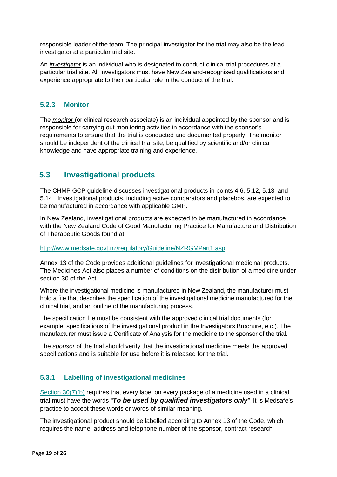responsible leader of the team. The principal investigator for the trial may also be the lead investigator at a particular trial site.

An *investigator* is an individual who is designated to conduct clinical trial procedures at a particular trial site. All investigators must have New Zealand-recognised qualifications and experience appropriate to their particular role in the conduct of the trial.

### <span id="page-18-0"></span>**5.2.3 Monitor**

The *monitor* (or clinical research associate) is an individual appointed by the sponsor and is responsible for carrying out monitoring activities in accordance with the sponsor's requirements to ensure that the trial is conducted and documented properly. The monitor should be independent of the clinical trial site, be qualified by scientific and/or clinical knowledge and have appropriate training and experience.

### <span id="page-18-1"></span>**5.3 Investigational products**

The CHMP GCP guideline discusses investigational products in points 4.6, 5.12, 5.13 and 5.14. Investigational products, including active comparators and placebos, are expected to be manufactured in accordance with applicable GMP.

In New Zealand, investigational products are expected to be manufactured in accordance with the New Zealand Code of Good Manufacturing Practice for Manufacture and Distribution of Therapeutic Goods found at:

#### <http://www.medsafe.govt.nz/regulatory/Guideline/NZRGMPart1.asp>

Annex 13 of the Code provides additional guidelines for investigational medicinal products. The Medicines Act also places a number of conditions on the distribution of a medicine under section 30 of the Act.

Where the investigational medicine is manufactured in New Zealand, the manufacturer must hold a file that describes the specification of the investigational medicine manufactured for the clinical trial, and an outline of the manufacturing process.

The specification file must be consistent with the approved clinical trial documents (for example, specifications of the investigational product in the Investigators Brochure, etc.). The manufacturer must issue a Certificate of Analysis for the medicine to the sponsor of the trial.

The *sponsor* of the trial should verify that the investigational medicine meets the approved specifications and is suitable for use before it is released for the trial.

### <span id="page-18-2"></span>**5.3.1 Labelling of investigational medicines**

[Section 30\(7\)\(b\)](http://www.legislation.govt.nz/act/public/1981/0118/latest/DLM55429.html) requires that every label on every package of a medicine used in a clinical trial must have the words *"To be used by qualified investigators only".* It is Medsafe's practice to accept these words or words of similar meaning*.*

The investigational product should be labelled according to Annex 13 of the Code, which requires the name, address and telephone number of the sponsor, contract research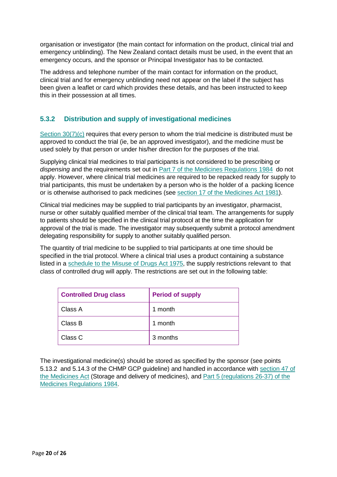organisation or investigator (the main contact for information on the product, clinical trial and emergency unblinding). The New Zealand contact details must be used, in the event that an emergency occurs, and the sponsor or Principal Investigator has to be contacted.

The address and telephone number of the main contact for information on the product, clinical trial and for emergency unblinding need not appear on the label if the subject has been given a leaflet or card which provides these details, and has been instructed to keep this in their possession at all times.

### <span id="page-19-0"></span>**5.3.2 Distribution and supply of investigational medicines**

[Section 30\(7\)\(c\)](http://www.legislation.govt.nz/act/public/1981/0118/latest/DLM55429.html) requires that every person to whom the trial medicine is distributed must be approved to conduct the trial (ie, be an approved investigator), and the medicine must be used solely by that person or under his/her direction for the purposes of the trial.

Supplying clinical trial medicines to trial participants is not considered to be prescribing or *dispensing* and the requirements set out in [Part 7 of the Medicines Regulations 1984](http://www.legislation.govt.nz/regulation/public/1984/0143/latest/DLM96518.html?search=ts_regulation%40deemedreg_medicines+regulations_resel_25_a&p=1) do not apply. However, where clinical trial medicines are required to be repacked ready for supply to trial participants, this must be undertaken by a person who is the holder of a packing licence or is otherwise authorised to pack medicines (see [section](http://www.legislation.govt.nz/act/public/1981/0118/latest/DLM55034.html?search=ts_act_medicines%2Bact_resel&p=1%23DLM55034) 17 of the [Medicines](http://www.legislation.govt.nz/act/public/1981/0118/latest/DLM55034.html?search=ts_act_medicines%2Bact_resel&p=1%23DLM55034) Act 1981).

Clinical trial medicines may be supplied to trial participants by an investigator, pharmacist, nurse or other suitably qualified member of the clinical trial team. The arrangements for supply to patients should be specified in the clinical trial protocol at the time the application for approval of the trial is made. The investigator may subsequently submit a protocol amendment delegating responsibility for supply to another suitably qualified person.

The quantity of trial medicine to be supplied to trial participants at one time should be specified in the trial protocol. Where a clinical trial uses a product containing a substance listed in a schedule to [the Misuse of](http://www.legislation.govt.nz/act/public/1975/0116/latest/whole.html?search=ts_act_Misuse%2Bof%2BDrugs_resel&p=1%23DLM436576) Drugs Act 1975, the supply restrictions relevant to that class of controlled drug will apply. The restrictions are set out in the following table:

| <b>Controlled Drug class</b> | <b>Period of supply</b> |
|------------------------------|-------------------------|
| Class A                      | 1 month                 |
| Class B                      | 1 month                 |
| Class C                      | 3 months                |

<span id="page-19-1"></span>The investigational medicine(s) should be stored as specified by the sponsor (see points 5.13.2 and 5.14.3 of the CHMP GCP guideline) and handled in accordance with [section](http://www.legislation.govt.nz/act/public/1981/0118/latest/DLM55470.html?search=ts_act_medicines_resel) 47 of [the Medicines](http://www.legislation.govt.nz/act/public/1981/0118/latest/DLM55470.html?search=ts_act_medicines_resel) Act (Storage and delivery of medicines), and Part 5 [\(regulations](http://www.legislation.govt.nz/regulation/public/1984/0143/latest/whole.html?search=ts_regulation_Medicines_resel&p=1%23DLM96196) 26-37) of [the](http://www.legislation.govt.nz/regulation/public/1984/0143/latest/whole.html?search=ts_regulation_Medicines_resel&p=1%23DLM96196) Medicines [Regulations](http://www.legislation.govt.nz/regulation/public/1984/0143/latest/whole.html?search=ts_regulation_Medicines_resel&p=1%23DLM96196) 1984.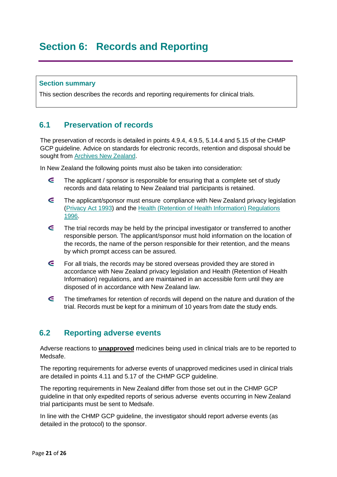### <span id="page-20-0"></span>**Section 6: Records and Reporting**

#### **Section summary**

This section describes the records and reporting requirements for clinical trials.

### <span id="page-20-1"></span>**6.1 Preservation of records**

The preservation of records is detailed in points 4.9.4, 4.9.5, 5.14.4 and 5.15 of the CHMP GCP guideline. Advice on standards for electronic records, retention and disposal should be sought from [Archives New Zealand.](http://records.archives.govt.nz/)

In New Zealand the following points must also be taken into consideration:

- $\epsilon$ The applicant / sponsor is responsible for ensuring that a complete set of study records and data relating to New Zealand trial participants is retained.
- G The applicant/sponsor must ensure compliance with New Zealand privacy legislation [\(Privacy Act 1993\)](http://www.legislation.govt.nz/act/public/1993/0028/latest/DLM296639.html?search=ts_act%40bill%40regulation%40deemedreg_privacy+act_resel_25_a&p=1) and the Health (Retention of [Health Information\) Regulations](http://www.legislation.govt.nz/regulation/public/1996/0343/latest/DLM225616.html?src=qs)  [1996.](http://www.legislation.govt.nz/regulation/public/1996/0343/latest/DLM225616.html?src=qs)
- $\epsilon$ The trial records may be held by the principal investigator or transferred to another responsible person. The applicant/sponsor must hold information on the location of the records, the name of the person responsible for their retention, and the means by which prompt access can be assured.
- $\epsilon$ For all trials, the records may be stored overseas provided they are stored in accordance with New Zealand privacy legislation and Health (Retention of Health Information) regulations, and are maintained in an accessible form until they are disposed of in accordance with New Zealand law.
- G The timeframes for retention of records will depend on the nature and duration of the trial. Records must be kept for a minimum of 10 years from date the study ends.

### <span id="page-20-2"></span>**6.2 Reporting adverse events**

Adverse reactions to **unapproved** medicines being used in clinical trials are to be reported to Medsafe.

The reporting requirements for adverse events of unapproved medicines used in clinical trials are detailed in points 4.11 and 5.17 of the CHMP GCP guideline.

The reporting requirements in New Zealand differ from those set out in the CHMP GCP guideline in that only expedited reports of serious adverse events occurring in New Zealand trial participants must be sent to Medsafe.

In line with the CHMP GCP guideline, the investigator should report adverse events (as detailed in the protocol) to the sponsor.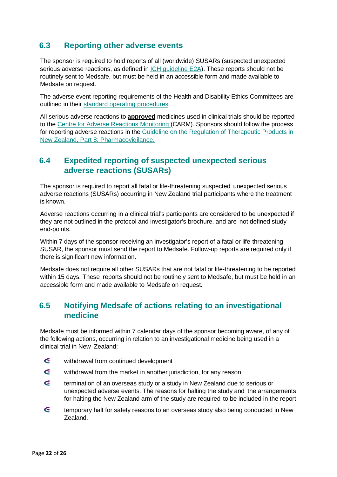### <span id="page-21-0"></span>**6.3 Reporting other adverse events**

The sponsor is required to hold reports of all (worldwide) SUSARs (suspected unexpected serious adverse reactions, as defined in [ICH guideline E2A\)](http://www.ich.org/fileadmin/Public_Web_Site/ICH_Products/Guidelines/Efficacy/E2A/Step4/E2A_Guideline.pdf). These reports should not be routinely sent to Medsafe, but must be held in an accessible form and made available to Medsafe on request.

The adverse event reporting requirements of the Health and Disability Ethics Committees are outlined in their [standard operating procedures.](https://ethics.health.govt.nz/operating-procedures)

All serious adverse reactions to **approved** medicines used in clinical trials should be reported to the Centre for Adverse Reactions [Monitoring](https://nzphvc-01.otago.ac.nz/carm-adr/carm.php) (CARM). Sponsors should follow the process for reporting adverse reactions in the [Guideline on the Regulation of Therapeutic Products in](http://www.medsafe.govt.nz/regulatory/Guideline/GRTPNZ/part-8-pharmacovigilance.pdf)  [New Zealand, Part 8: Pharmacovigilance.](http://www.medsafe.govt.nz/regulatory/Guideline/GRTPNZ/part-8-pharmacovigilance.pdf)

### <span id="page-21-1"></span>**6.4 Expedited reporting of suspected unexpected serious adverse reactions (SUSARs)**

The sponsor is required to report all fatal or life-threatening suspected unexpected serious adverse reactions (SUSARs) occurring in New Zealand trial participants where the treatment is known.

Adverse reactions occurring in a clinical trial's participants are considered to be unexpected if they are not outlined in the protocol and investigator's brochure, and are not defined study end-points.

Within 7 days of the sponsor receiving an investigator's report of a fatal or life-threatening SUSAR, the sponsor must send the report to Medsafe. Follow-up reports are required only if there is significant new information.

Medsafe does not require all other SUSARs that are not fatal or life-threatening to be reported within 15 days. These reports should not be routinely sent to Medsafe, but must be held in an accessible form and made available to Medsafe on request.

### <span id="page-21-2"></span>**6.5 Notifying Medsafe of actions relating to an investigational medicine**

Medsafe must be informed within 7 calendar days of the sponsor becoming aware, of any of the following actions, occurring in relation to an investigational medicine being used in a clinical trial in New Zealand:

- $\epsilon$ withdrawal from continued development
- $\epsilon$ withdrawal from the market in another jurisdiction, for any reason
- $\epsilon$ termination of an overseas study or a study in New Zealand due to serious or unexpected adverse events. The reasons for halting the study and the arrangements for halting the New Zealand arm of the study are required to be included in the report
- $\epsilon$ temporary halt for safety reasons to an overseas study also being conducted in New Zealand.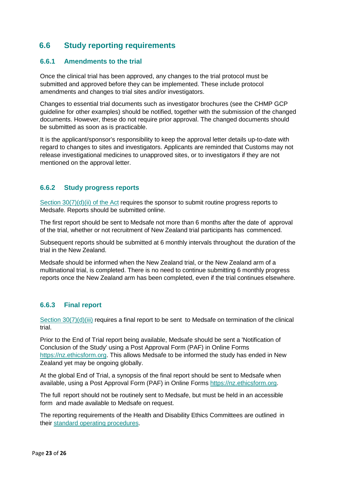### <span id="page-22-0"></span>**6.6 Study reporting requirements**

### <span id="page-22-1"></span>**6.6.1 Amendments to the trial**

Once the clinical trial has been approved, any changes to the trial protocol must be submitted and approved before they can be implemented. These include protocol amendments and changes to trial sites and/or investigators.

Changes to essential trial documents such as investigator brochures (see the CHMP GCP guideline for other examples) should be notified, together with the submission of the changed documents. However, these do not require prior approval. The changed documents should be submitted as soon as is practicable.

It is the applicant/sponsor's responsibility to keep the approval letter details up-to-date with regard to changes to sites and investigators. Applicants are reminded that Customs may not release investigational medicines to unapproved sites, or to investigators if they are not mentioned on the approval letter.

### <span id="page-22-2"></span>**6.6.2 Study progress reports**

Section [30\(7\)\(d\)\(ii\)](http://www.legislation.govt.nz/act/public/1981/0118/latest/DLM55429.html?search=ts_act_medicines%2Bact_resel&p=1) of the Act requires the sponsor to submit routine progress reports to Medsafe. Reports should be submitted online.

The first report should be sent to Medsafe not more than 6 months after the date of approval of the trial, whether or not recruitment of New Zealand trial participants has commenced.

Subsequent reports should be submitted at 6 monthly intervals throughout the duration of the trial in the New Zealand.

Medsafe should be informed when the New Zealand trial, or the New Zealand arm of a multinational trial, is completed. There is no need to continue submitting 6 monthly progress reports once the New Zealand arm has been completed, even if the trial continues elsewhere.

### <span id="page-22-3"></span>**6.6.3 Final report**

Section [30\(7\)\(d\)\(iii\)](http://www.legislation.govt.nz/act/public/1981/0118/latest/DLM55429.html?search=ts_act_medicines%2Bact_resel&p=1) requires a final report to be sent to Medsafe on termination of the clinical trial.

Prior to the End of Trial report being available, Medsafe should be sent a 'Notification of Conclusion of the Study' using a Post Approval Form (PAF) in Online Forms [https://nz.ethicsform.org.](https://nz.ethicsform.org/) This allows Medsafe to be informed the study has ended in New Zealand yet may be ongoing globally.

At the global End of Trial, a synopsis of the final report should be sent to Medsafe when available, using a Post Approval Form (PAF) in Online Forms [https://nz.ethicsform.org.](https://nz.ethicsform.org/)

The full report should not be routinely sent to Medsafe, but must be held in an accessible form and made available to Medsafe on request.

The reporting requirements of the Health and Disability Ethics Committees are outlined in their [standard operating procedures.](https://ethics.health.govt.nz/operating-procedures)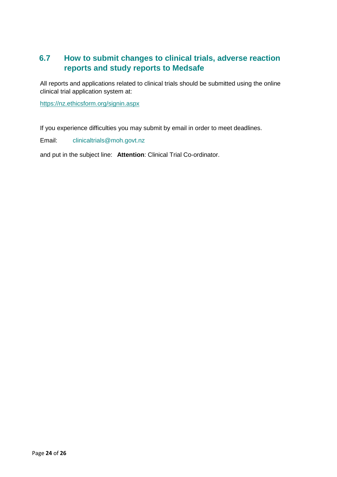### <span id="page-23-0"></span>**6.7 How to submit changes to clinical trials, adverse reaction reports and study reports to Medsafe**

All reports and applications related to clinical trials should be submitted using the online clinical trial application system at:

<https://nz.ethicsform.org/signin.aspx>

If you experience difficulties you may submit by email in order to meet deadlines.

Email: clinicaltrials@moh.govt.nz

and put in the subject line: **Attention**: Clinical Trial Co-ordinator.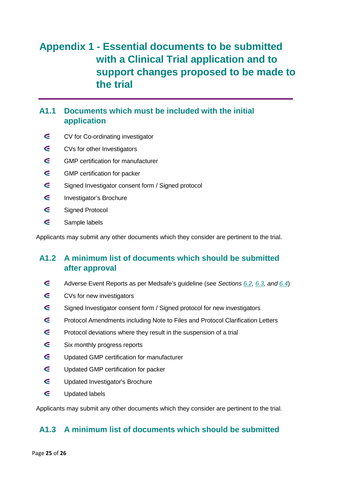### <span id="page-24-0"></span>**Appendix 1 - Essential documents to be submitted with a Clinical Trial application and to support changes proposed to be made to the trial**

### <span id="page-24-1"></span>**A1.1 Documents which must be included with the initial application**

- $\epsilon$ CV for Co-ordinating investigator
- $\epsilon$ CVs for other Investigators
- $\epsilon$ GMP certification for manufacturer
- $\epsilon$ GMP certification for packer
- $\epsilon$ Signed Investigator consent form / Signed protocol
- $\epsilon$ Investigator's Brochure
- $\epsilon$ Signed Protocol
- $\epsilon$ Sample labels

Applicants may submit any other documents which they consider are pertinent to the trial.

### <span id="page-24-2"></span>**A1.2 A minimum list of documents which should be submitted after approval**

- $\epsilon$ Adverse Event Reports as per Medsafe's guideline (see *Sections [6.2,](#page-20-2) [6.3,](#page-21-0) and [6.4](#page-21-1)*)
- $\epsilon$ CVs for new investigators
- $\epsilon$ Signed Investigator consent form / Signed protocol for new investigators
- $\epsilon$ Protocol Amendments including Note to Files and Protocol Clarification Letters
- $\epsilon$ Protocol deviations where they result in the suspension of a trial
- $\epsilon$ Six monthly progress reports
- $\epsilon$ Updated GMP certification for manufacturer
- $\epsilon$ Updated GMP certification for packer
- $\epsilon$ Updated Investigator's Brochure
- $\epsilon$ Updated labels

Applicants may submit any other documents which they consider are pertinent to the trial.

### <span id="page-24-3"></span>**A1.3 A minimum list of documents which should be submitted**